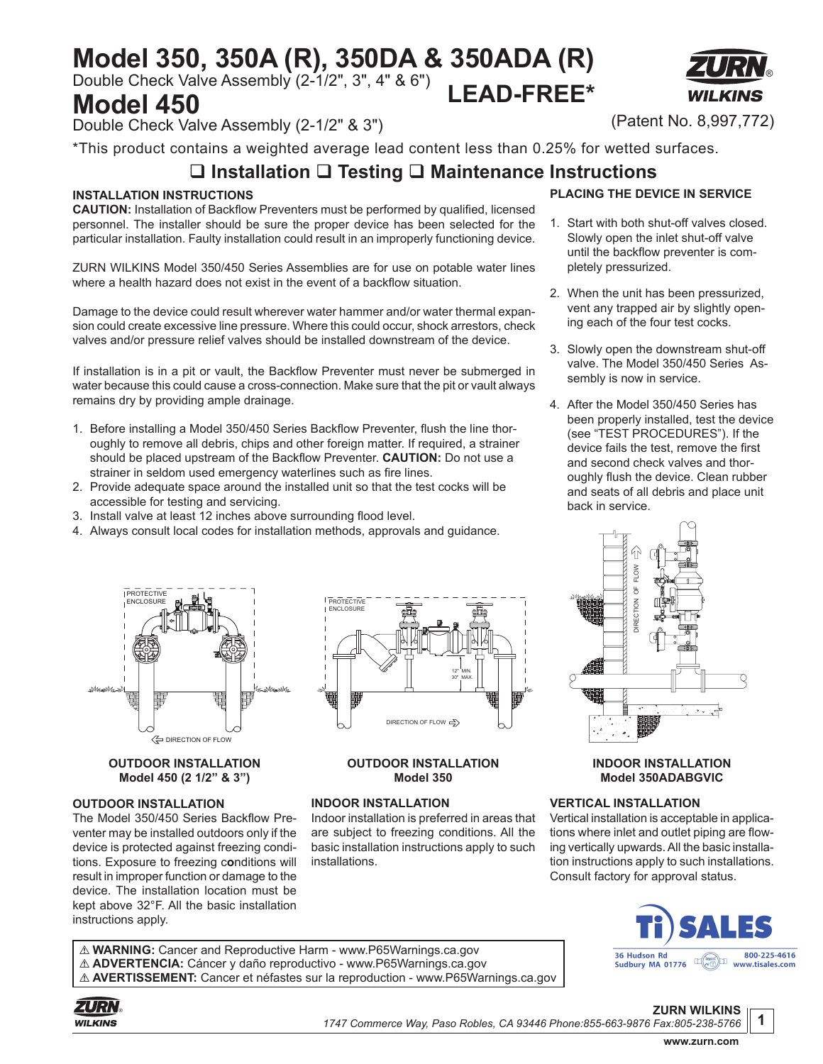# **Model 350, 350A (R), 350DA & 350ADA (R)**

Double Check Valve Assembly (2-1/2", 3", 4" & 6")

## **Model 450**

Double Check Valve Assembly (2-1/2" & 3")

\*This product contains a weighted average lead content less than 0.25% for wetted surfaces.

## **Installation Testing Maintenance Instructions**

**LEAD-FREE\***

#### **INSTALLATION INSTRUCTIONS**

**CAUTION:** Installation of Backflow Preventers must be performed by qualified, licensed personnel. The installer should be sure the proper device has been selected for the particular installation. Faulty installation could result in an improperly functioning device.

ZURN WILKINS Model 350/450 Series Assemblies are for use on potable water lines where a health hazard does not exist in the event of a backflow situation.

Damage to the device could result wherever water hammer and/or water thermal expansion could create excessive line pressure. Where this could occur, shock arrestors, check valves and/or pressure relief valves should be installed downstream of the device.

If installation is in a pit or vault, the Backflow Preventer must never be submerged in water because this could cause a cross-connection. Make sure that the pit or vault always remains dry by providing ample drainage.

- 1. Before installing a Model 350/450 Series Backflow Preventer, flush the line thoroughly to remove all debris, chips and other foreign matter. If required, a strainer should be placed upstream of the Backflow Preventer. **CAUTION:** Do not use a strainer in seldom used emergency waterlines such as fire lines.
- 2. Provide adequate space around the installed unit so that the test cocks will be accessible for testing and servicing.
- 3. Install valve at least 12 inches above surrounding flood level.
- 4. Always consult local codes for installation methods, approvals and guidance.



#### **OUTDOOR INSTALLATION Model 450 (2 1/2" & 3")**

#### **OUTDOOR INSTALLATION**

The Model 350/450 Series Backflow Preventer may be installed outdoors only if the device is protected against freezing conditions. Exposure to freezing c**o**nditions will result in improper function or damage to the device. The installation location must be kept above 32°F. All the basic installation instructions apply.



#### **OUTDOOR INSTALLATION Model 350**

#### **INDOOR INSTALLATION**

Indoor installation is preferred in areas that are subject to freezing conditions. All the basic installation instructions apply to such installations.

#### **PLACING THE DEVICE IN SERVICE**

- 1. Start with both shut-off valves closed. Slowly open the inlet shut-off valve until the backflow preventer is completely pressurized.
- 2. When the unit has been pressurized, vent any trapped air by slightly opening each of the four test cocks.
- 3. Slowly open the downstream shut-off valve. The Model 350/450 Series Assembly is now in service.
- 4. After the Model 350/450 Series has been properly installed, test the device (see "TEST PROCEDURES"). If the device fails the test, remove the first and second check valves and thoroughly flush the device. Clean rubber and seats of all debris and place unit back in service.



#### **INDOOR INSTALLATION Model 350ADABGVIC**

#### **VERTICAL INSTALLATION**

Vertical installation is acceptable in applications where inlet and outlet piping are flowing vertically upwards. All the basic installation instructions apply to such installations.



! **WARNING:** Cancer and Reproductive Harm - www.P65Warnings.ca.gov ! **ADVERTENCIA:** Cáncer y daño reproductivo - www.P65Warnings.ca.gov ! **AVERTISSEMENT:** Cancer et néfastes sur la reproduction - www.P65Warnings.ca.gov

ZURN **WILKINS** 

**ZURN WILKINS**

**1**



(Patent No. 8,997,772)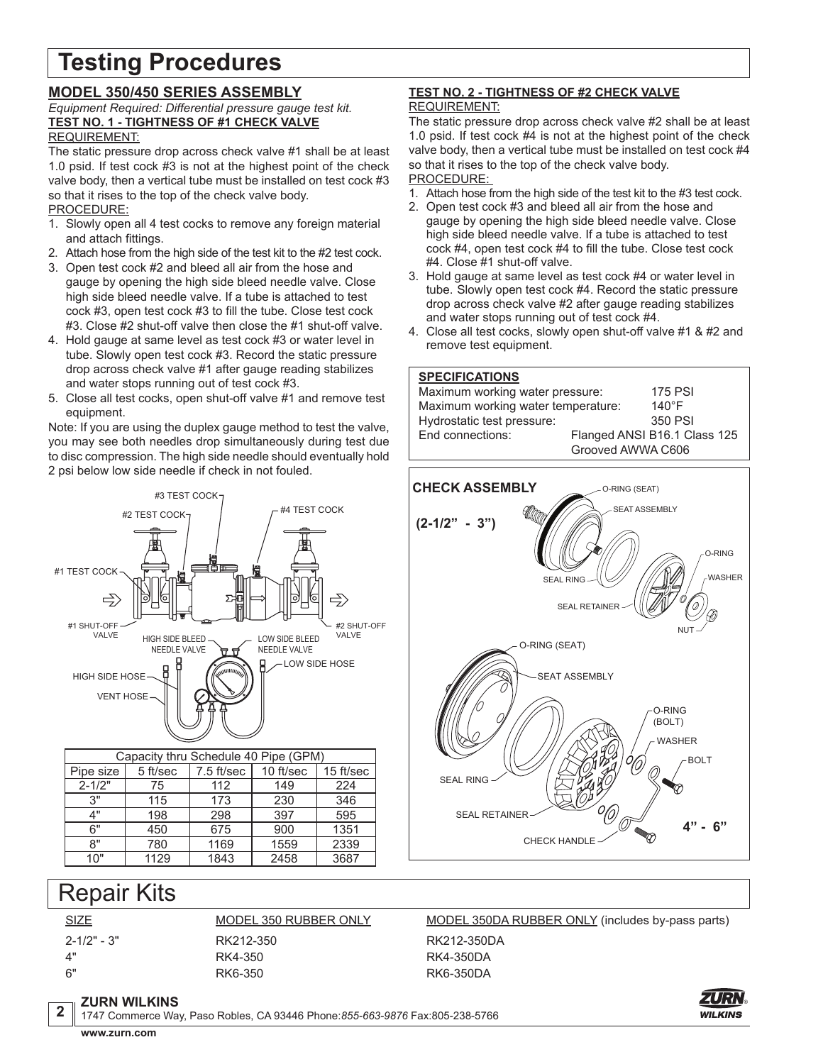## **Testing Procedures**

### **MODEL 350/450 SERIES ASSEMBLY**

#### *Equipment Required: Differential pressure gauge test kit.* **TEST NO. 1 - TIGHTNESS OF #1 CHECK VALVE** REQUIREMENT:

The static pressure drop across check valve #1 shall be at least 1.0 psid. If test cock #3 is not at the highest point of the check valve body, then a vertical tube must be installed on test cock #3 so that it rises to the top of the check valve body. PROCEDURE:

- 1. Slowly open all 4 test cocks to remove any foreign material and attach fittings.
- 2. Attach hose from the high side of the test kit to the #2 test cock.
- 3. Open test cock #2 and bleed all air from the hose and gauge by opening the high side bleed needle valve. Close high side bleed needle valve. If a tube is attached to test cock #3, open test cock #3 to fill the tube. Close test cock #3. Close #2 shut-off valve then close the #1 shut-off valve.
- 4. Hold gauge at same level as test cock #3 or water level in tube. Slowly open test cock #3. Record the static pressure drop across check valve #1 after gauge reading stabilizes and water stops running out of test cock #3.
- 5. Close all test cocks, open shut-off valve #1 and remove test equipment.

Note: If you are using the duplex gauge method to test the valve, you may see both needles drop simultaneously during test due to disc compression. The high side needle should eventually hold 2 psi below low side needle if check in not fouled.



| Capacity thru Schedule 40 Pipe (GPM) |          |            |           |           |  |
|--------------------------------------|----------|------------|-----------|-----------|--|
| Pipe size                            | 5 ft/sec | 7.5 ft/sec | 10 ft/sec | 15 ft/sec |  |
| $2 - 1/2"$                           | 75       | 112        | 149       | 224       |  |
| 3"                                   | 115      | 173        | 230       | 346       |  |
| 4"                                   | 198      | 298        | 397       | 595       |  |
| 6"                                   | 450      | 675        | 900       | 1351      |  |
| 8"                                   | 780      | 1169       | 1559      | 2339      |  |
| 10"                                  | 1129     | 1843       | 2458      | 3687      |  |

#### **TEST NO. 2 - TIGHTNESS OF #2 CHECK VALVE** REQUIREMENT:

The static pressure drop across check valve #2 shall be at least 1.0 psid. If test cock #4 is not at the highest point of the check valve body, then a vertical tube must be installed on test cock #4 so that it rises to the top of the check valve body. PROCEDURE:

#### 1. Attach hose from the high side of the test kit to the #3 test cock.

- 2. Open test cock #3 and bleed all air from the hose and gauge by opening the high side bleed needle valve. Close high side bleed needle valve. If a tube is attached to test cock #4, open test cock #4 to fill the tube. Close test cock #4. Close #1 shut-off valve.
- 3. Hold gauge at same level as test cock #4 or water level in tube. Slowly open test cock #4. Record the static pressure drop across check valve #2 after gauge reading stabilizes and water stops running out of test cock #4.
- 4. Close all test cocks, slowly open shut-off valve #1 & #2 and remove test equipment.

#### **SPECIFICATIONS**

| Maximum working water pressure:    | <b>175 PSI</b>    |                              |
|------------------------------------|-------------------|------------------------------|
| Maximum working water temperature: | $140^\circ F$     |                              |
| Hydrostatic test pressure:         |                   | 350 PSI                      |
| End connections:                   |                   | Flanged ANSI B16.1 Class 125 |
|                                    | Grooved AWWA C606 |                              |



## Repair Kits

2-1/2" - 3" RK212-350 RK212-350DA

SIZE MODEL 350 RUBBER ONLY MODEL 350DA RUBBER ONLY (includes by-pass parts)

4" RK4-350 RK4-350DA 6" RK6-350 RK6-350DA

**<sup>2</sup> ZURN WILKINS** 1747 Commerce Way, Paso Robles, CA 93446 Phone:*855-663-9876* Fax:805-238-5766

®**WILKINS**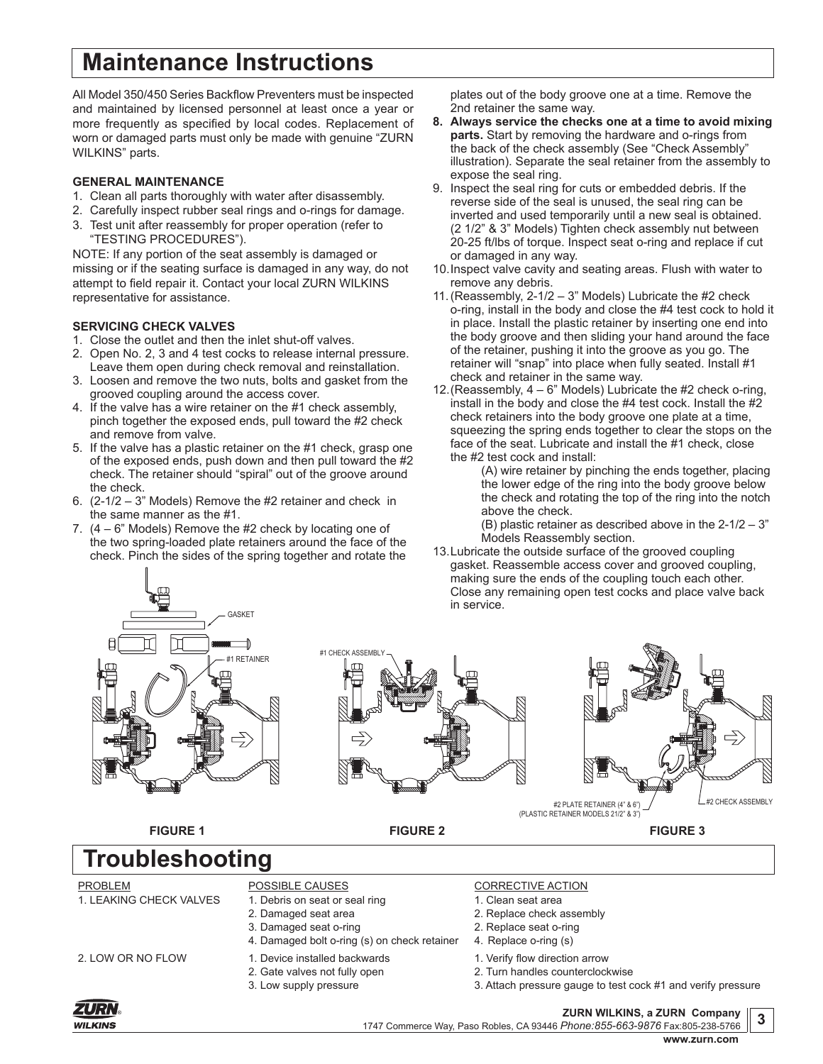## **Maintenance Instructions**

All Model 350/450 Series Backflow Preventers must be inspected and maintained by licensed personnel at least once a year or more frequently as specified by local codes. Replacement of worn or damaged parts must only be made with genuine "ZURN WILKINS" parts.

#### **GENERAL MAINTENANCE**

- 1. Clean all parts thoroughly with water after disassembly.
- 2. Carefully inspect rubber seal rings and o-rings for damage. 3. Test unit after reassembly for proper operation (refer to "TESTING PROCEDURES").

NOTE: If any portion of the seat assembly is damaged or missing or if the seating surface is damaged in any way, do not attempt to field repair it. Contact your local ZURN WILKINS representative for assistance.

#### **SERVICING CHECK VALVES**

- 1. Close the outlet and then the inlet shut-off valves.
- 2. Open No. 2, 3 and 4 test cocks to release internal pressure. Leave them open during check removal and reinstallation.
- 3. Loosen and remove the two nuts, bolts and gasket from the grooved coupling around the access cover.
- 4. If the valve has a wire retainer on the #1 check assembly, pinch together the exposed ends, pull toward the #2 check and remove from valve.
- 5. If the valve has a plastic retainer on the #1 check, grasp one of the exposed ends, push down and then pull toward the #2 check. The retainer should "spiral" out of the groove around the check.
- 6. (2-1/2 3" Models) Remove the #2 retainer and check in the same manner as the #1.
- 7. (4 6" Models) Remove the #2 check by locating one of the two spring-loaded plate retainers around the face of the check. Pinch the sides of the spring together and rotate the

plates out of the body groove one at a time. Remove the 2nd retainer the same way.

- **8. Always service the checks one at a time to avoid mixing parts.** Start by removing the hardware and o-rings from the back of the check assembly (See "Check Assembly" illustration). Separate the seal retainer from the assembly to expose the seal ring.
- 9. Inspect the seal ring for cuts or embedded debris. If the reverse side of the seal is unused, the seal ring can be inverted and used temporarily until a new seal is obtained. (2 1/2" & 3" Models) Tighten check assembly nut between 20-25 ft/lbs of torque. Inspect seat o-ring and replace if cut or damaged in any way.
- 10.Inspect valve cavity and seating areas. Flush with water to remove any debris.
- 11.(Reassembly, 2-1/2 3" Models) Lubricate the #2 check o-ring, install in the body and close the #4 test cock to hold it in place. Install the plastic retainer by inserting one end into the body groove and then sliding your hand around the face of the retainer, pushing it into the groove as you go. The retainer will "snap" into place when fully seated. Install #1 check and retainer in the same way.
- 12.(Reassembly, 4 6" Models) Lubricate the #2 check o-ring, install in the body and close the #4 test cock. Install the #2 check retainers into the body groove one plate at a time, squeezing the spring ends together to clear the stops on the face of the seat. Lubricate and install the #1 check, close the #2 test cock and install:

(A) wire retainer by pinching the ends together, placing the lower edge of the ring into the body groove below the check and rotating the top of the ring into the notch above the check.

(B) plastic retainer as described above in the  $2-1/2-3$ " Models Reassembly section.

13.Lubricate the outside surface of the grooved coupling gasket. Reassemble access cover and grooved coupling, making sure the ends of the coupling touch each other. Close any remaining open test cocks and place valve back in service.







**FIGURE 1 FIGURE 2 FIGURE 3**

**Troubleshooting**

### PROBLEM POSSIBLE CAUSES CORRECTIVE ACTION

- 1. LEAKING CHECK VALVES 1. Debris on seat or seal ring 1. Clean seat area
	-
	- 3. Damaged seat o-ring 2. Replace seat o-ring
	- 4. Damaged bolt o-ring (s) on check retainer 4. Replace o-ring (s)
- 
- 
- 
- 
- 
- 
- 
- 2. Damaged seat area 2. Replace check assembly
	-
	-
- 2. LOW OR NO FLOW 1. Device installed backwards 1. Verify flow direction arrow
	- 2. Gate valves not fully open 2. Turn handles counterclockwise
	- 3. Low supply pressure 3. Attach pressure gauge to test cock #1 and verify pressure

#### **ZURN WILKINS, a ZURN Company**

1747 Commerce Way, Paso Robles, CA 93446 *Phone:855-663-9876* Fax:805-238-5766

**3**